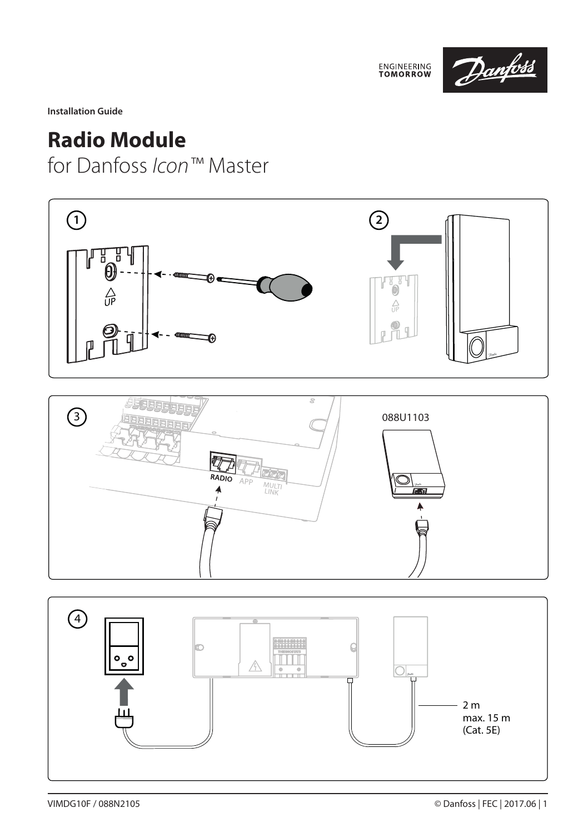

**Installation Guide**

## **Radio Module**

for Danfoss *Icon™* Master



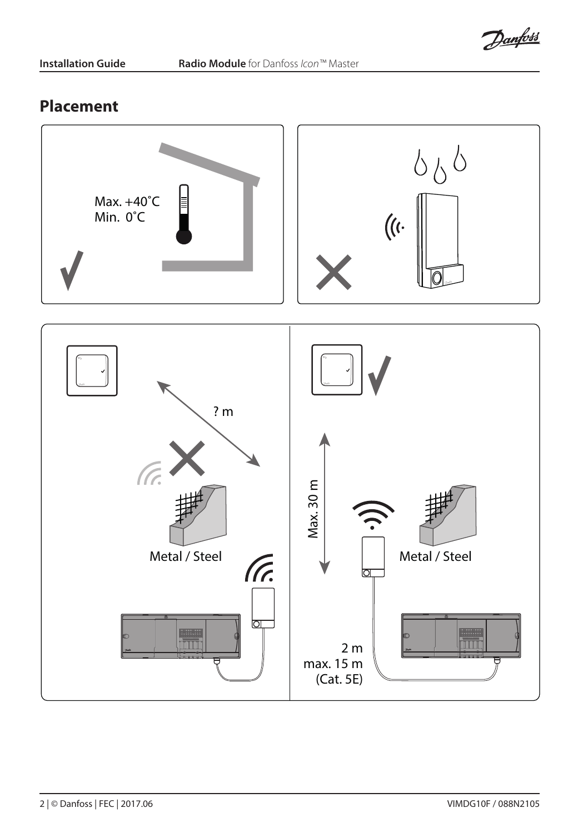Danfoss

## **Placement**

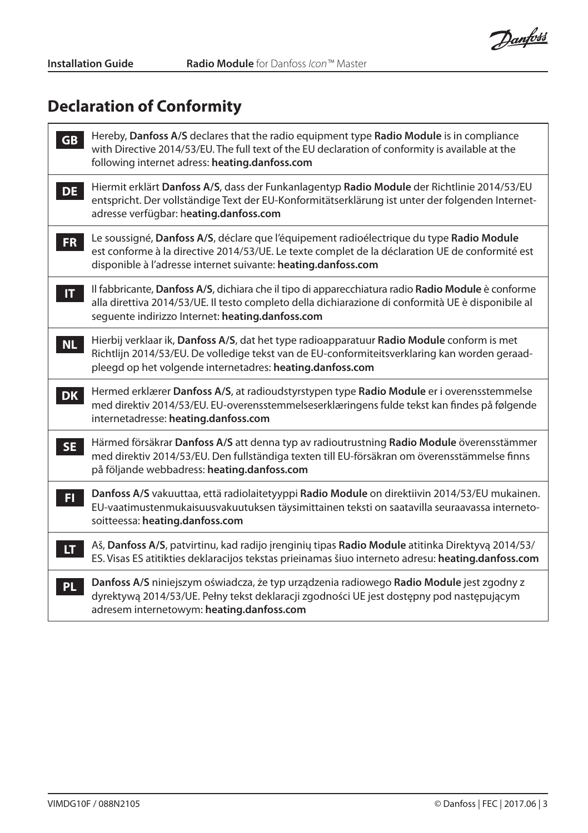Danfoss

## **Declaration of Conformity**

| <b>GB</b>    | Hereby, Danfoss A/S declares that the radio equipment type Radio Module is in compliance<br>with Directive 2014/53/EU. The full text of the EU declaration of conformity is available at the<br>following internet adress: heating.danfoss.com               |
|--------------|--------------------------------------------------------------------------------------------------------------------------------------------------------------------------------------------------------------------------------------------------------------|
| <b>DE</b>    | Hiermit erklärt Danfoss A/S, dass der Funkanlagentyp Radio Module der Richtlinie 2014/53/EU<br>entspricht. Der vollständige Text der EU-Konformitätserklärung ist unter der folgenden Internet-<br>adresse verfügbar: heating.danfoss.com                    |
| FR.          | Le soussigné, Danfoss A/S, déclare que l'équipement radioélectrique du type Radio Module<br>est conforme à la directive 2014/53/UE. Le texte complet de la déclaration UE de conformité est<br>disponible à l'adresse internet suivante: heating.danfoss.com |
| $\mathbf{H}$ | Il fabbricante, Danfoss A/S, dichiara che il tipo di apparecchiatura radio Radio Module è conforme<br>alla direttiva 2014/53/UE. Il testo completo della dichiarazione di conformità UE è disponibile al<br>sequente indirizzo Internet: heating.danfoss.com |
| <b>NL</b>    | Hierbij verklaar ik, Danfoss A/S, dat het type radioapparatuur Radio Module conform is met<br>Richtlijn 2014/53/EU. De volledige tekst van de EU-conformiteitsverklaring kan worden geraad-<br>pleegd op het volgende internetadres: heating.danfoss.com     |
| <b>DK</b>    | Hermed erklærer Danfoss A/S, at radioudstyrstypen type Radio Module er i overensstemmelse<br>med direktiv 2014/53/EU. EU-overensstemmelseserklæringens fulde tekst kan findes på følgende<br>internetadresse: heating.danfoss.com                            |
| <b>SE</b>    | Härmed försäkrar Danfoss A/S att denna typ av radioutrustning Radio Module överensstämmer<br>med direktiv 2014/53/EU. Den fullständiga texten till EU-försäkran om överensstämmelse finns<br>på följande webbadress: heating.danfoss.com                     |
| FI.          | Danfoss A/S vakuuttaa, että radiolaitetyyppi Radio Module on direktiivin 2014/53/EU mukainen.<br>EU-vaatimustenmukaisuusvakuutuksen täysimittainen teksti on saatavilla seuraavassa interneto-<br>soitteessa: heating.danfoss.com                            |
| LT.          | Aš, Danfoss A/S, patvirtinu, kad radijo įrenginių tipas Radio Module atitinka Direktyvą 2014/53/<br>ES. Visas ES atitikties deklaracijos tekstas prieinamas šiuo interneto adresu: heating.danfoss.com                                                       |
| <b>PL</b>    | Danfoss A/S niniejszym oświadcza, że typ urządzenia radiowego Radio Module jest zgodny z<br>dyrektywą 2014/53/UE. Pełny tekst deklaracji zgodności UE jest dostępny pod następującym<br>adresem internetowym: heating.danfoss.com                            |